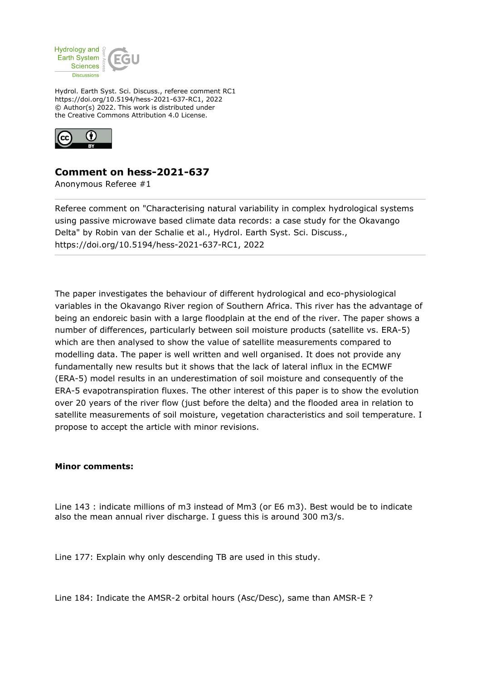

Hydrol. Earth Syst. Sci. Discuss., referee comment RC1 https://doi.org/10.5194/hess-2021-637-RC1, 2022 © Author(s) 2022. This work is distributed under the Creative Commons Attribution 4.0 License.



## **Comment on hess-2021-637**

Anonymous Referee #1

Referee comment on "Characterising natural variability in complex hydrological systems using passive microwave based climate data records: a case study for the Okavango Delta" by Robin van der Schalie et al., Hydrol. Earth Syst. Sci. Discuss., https://doi.org/10.5194/hess-2021-637-RC1, 2022

The paper investigates the behaviour of different hydrological and eco-physiological variables in the Okavango River region of Southern Africa. This river has the advantage of being an endoreic basin with a large floodplain at the end of the river. The paper shows a number of differences, particularly between soil moisture products (satellite vs. ERA-5) which are then analysed to show the value of satellite measurements compared to modelling data. The paper is well written and well organised. It does not provide any fundamentally new results but it shows that the lack of lateral influx in the ECMWF (ERA-5) model results in an underestimation of soil moisture and consequently of the ERA-5 evapotranspiration fluxes. The other interest of this paper is to show the evolution over 20 years of the river flow (just before the delta) and the flooded area in relation to satellite measurements of soil moisture, vegetation characteristics and soil temperature. I propose to accept the article with minor revisions.

## **Minor comments:**

Line 143 : indicate millions of m3 instead of Mm3 (or E6 m3). Best would be to indicate also the mean annual river discharge. I guess this is around 300 m3/s.

Line 177: Explain why only descending TB are used in this study.

Line 184: Indicate the AMSR-2 orbital hours (Asc/Desc), same than AMSR-E ?